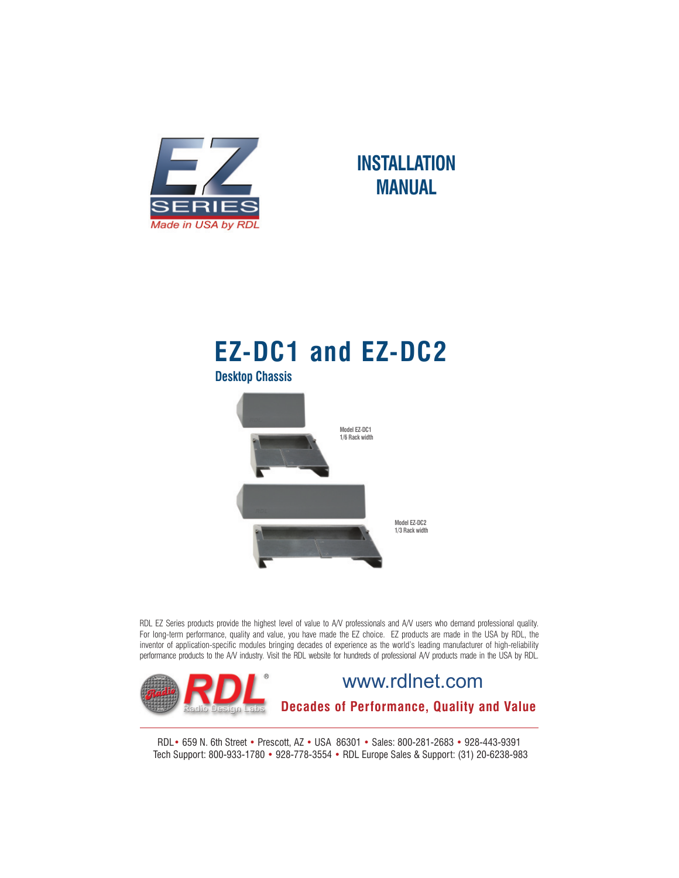

## **INSTALLATION MANUAL**

# **EZ-DC1 and EZ-DC2**



RDL EZ Series products provide the highest level of value to A/V professionals and A/V users who demand professional quality. For long-term performance, quality and value, you have made the EZ choice. EZ products are made in the USA by RDL, the inventor of application-specific modules bringing decades of experience as the world's leading manufacturer of high-reliability performance products to the A/V industry. Visit the RDL website for hundreds of professional A/V products made in the USA by RDL.



RDL• 659 N. 6th Street • Prescott, AZ • USA 86301 • Sales: 800-281-2683 • 928-443-9391 Tech Support: 800-933-1780 • 928-778-3554 • RDL Europe Sales & Support: (31) 20-6238-983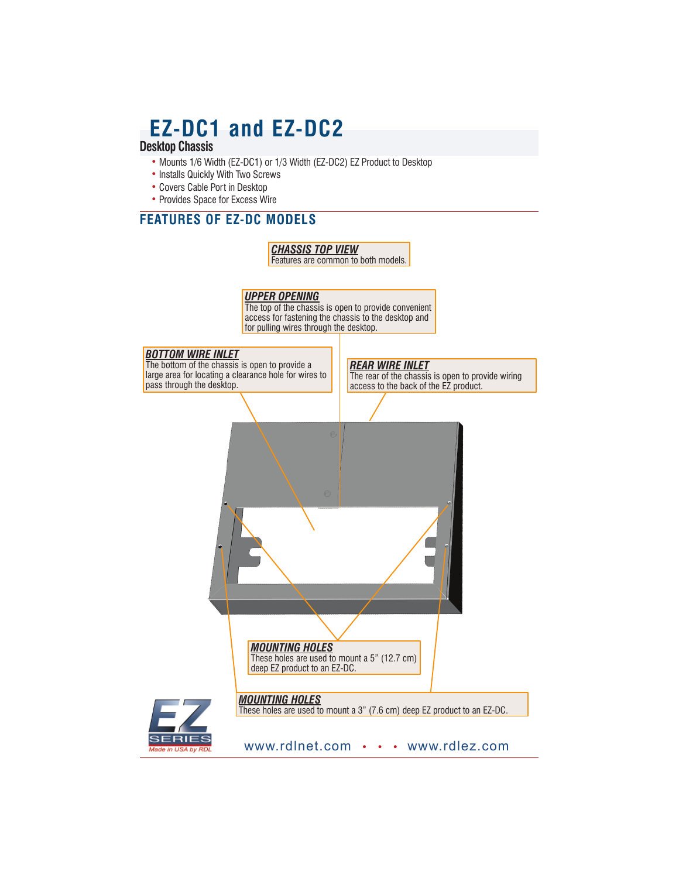## **EZ-DC1 and EZ-DC2**

### **Desktop Chassis**

- Mounts 1/6 Width (EZ-DC1) or 1/3 Width (EZ-DC2) EZ Product to Desktop
- Installs Quickly With Two Screws
- Covers Cable Port in Desktop
- Provides Space for Excess Wire

#### **FEATURES OF EZ-DC MODELS**

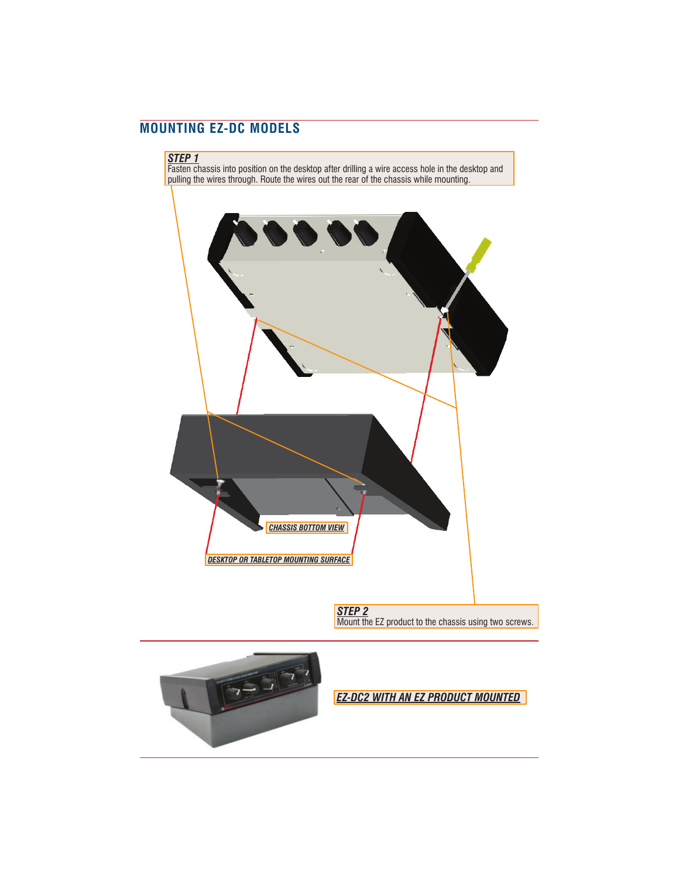#### **MOUNTING EZ-DC MODELS**





*EZ-DC2 WITH AN EZ PRODUCT MOUNTED*